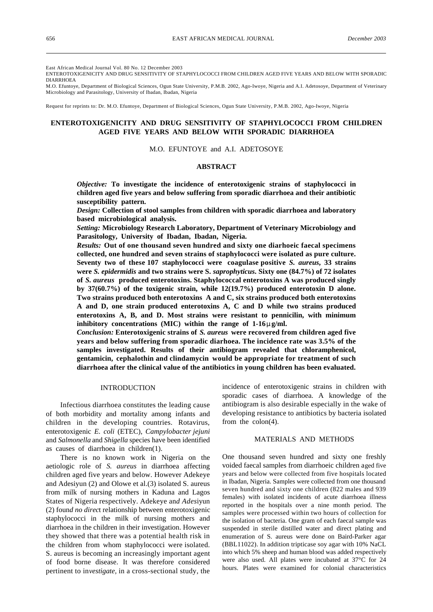East African Medical Journal Vol. 80 No. 12 December 2003

ENTEROTOXIGENICITY AND DRUG SENSITIVITY OF STAPHYLOCOCCI FROM CHILDREN AGED FIVE YEARS AND BELOW WITH SPORADIC DIARRHOEA

M.O. Efuntoye, Department of Biological Sciences, Ogun State University, P.M.B. 2002, Ago-Iwoye, Nigeria and A.I. Adetosoye, Department of Veterinary Microbiology and Parasitology, University of Ibadan, Ibadan, Nigeria

Request for reprints to: Dr. M.O. Efuntoye, Department of Biological Sciences, Ogun State University, P.M.B. 2002, Ago-Iwoye, Nigeria

# **ENTEROTOXIGENICITY AND DRUG SENSITIVITY OF STAPHYLOCOCCI FROM CHILDREN AGED FIVE YEARS AND BELOW WITH SPORADIC DIARRHOEA**

# M.O. EFUNTOYE and A.I. ADETOSOYE

#### **ABSTRACT**

*Objective:* **To investigate the incidence of enterotoxigenic strains of staphylococci in children aged five years and below suffering from sporadic diarrhoea and their antibiotic susceptibility pattern.**

*Design:* **Collection of stool samples from children with sporadic diarrhoea and laboratory based microbiological analysis.**

*Setting:* **Microbiology Research Laboratory, Department of Veterinary Microbiology and Parasitology, University of Ibadan, Ibadan, Nigeria.**

*Results:* **Out of one thousand seven hundred and sixty one diarhoeic faecal specimens collected, one hundred and seven strains of staphylococci were isolated as pure culture. Seventy two of these 107 staphylococci were coagulase positive** *S. aureus***, 33 strains were** *S. epidermidis* **and two strains were S.** *saprophyticus***. Sixty one (84.7%) of 72 isolates of** *S. aureus* **produced enterotoxins. Staphylococcal enterotoxins A was produced singly by 37(60.7%) of the toxigenic strain, while 12(19.7%) produced enterotoxin D alone. Two strains produced both enterotoxins A and C, six strains produced both enterotoxins A and D, one strain produced enterotoxins A, C and D while two strains produced enterotoxins A, B, and D. Most strains were resistant to pennicilin, with minimum inhibitory concentrations (MIC) within the range of 1-16**μ **g/ml.**

*Conclusion:* **Enterotoxigenic strains of** *S. aureus* **were recovered from children aged five years and below suffering from sporadic diarhoea. The incidence rate was 3.5% of the samples investigated. Results of their antibiogram revealed that chloramphenicol, gentamicin, cephalothin and clindamycin would be appropriate for treatment of such diarrhoea after the clinical value of the antibiotics in young children has been evaluated.**

### INTRODUCTION

Infectious diarrhoea constitutes the leading cause of both morbidity and mortality among infants and children in the developing countries. Rotavirus, enterotoxigenic *E. coli* (ETEC), *Campylobacter jejuni* and *Salmonella* and *Shigella* species have been identified as causes of diarrhoea in children(1).

There is no known work in Nigeria on the aetiologic role of *S. aureus* in diarrhoea affecting children aged five years and below. However Adekeye and Adesiyun (2) and Olowe et al.(3) isolated S. aureus from milk of nursing mothers in Kaduna and Lagos States of Nigeria respectively. Adekeye an*d Ades*iyun (2) foun*d no direc*t relationship between enterotoxigenic staphylococci in the milk of nursing mothers and diarrhoea in the children in their investigation. However they showed that there was a potential health risk in the children from whom staphylococci were isolated. S. aureus is becoming an increasingly important agent of food borne disease. It was therefore considered pertinent to in*vestigate,* in a cross-sectional study, the

incidence of enterotoxigenic strains in children with sporadic cases of diarrhoea. A knowledge of the antibiogram is also desirable especially in the wake of developing resistance to antibiotics by bacteria isolated from the colon(4).

#### MATERIALS AND METHODS

One thousand seven hundred and sixty one freshly voided faecal samples from diarrhoeic children aged five years and below were collected from five hospitals located in Ibadan, Nigeria. Samples were collected from one thousand seven hundred and sixty one children (822 males and 939 females) with isolated incidents of acute diarrhoea illness reported in the hospitals over a nine month period. The samples were processed within two hours of collection for the isolation of bacteria. One gram of each faecal sample was suspended in sterile distilled water and direct plating and enumeration of S. aureus were done on Baird-Parker agar (BBL11022). In addition tripticase soy agar with 10% NaCL into which 5% sheep and human blood was added respectively were also used. All plates were incubated at 37°C for 24 hours. Plates were examined for colonial characteristics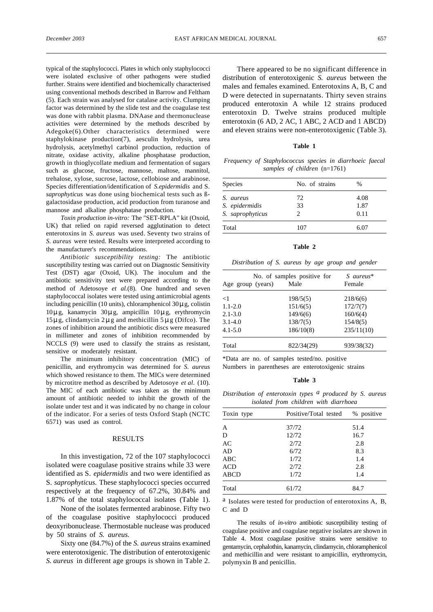typical of the staphylococci. Plates in which only staphylococci were isolated exclusive of other pathogens were studied further. Strains were identified and biochemically characterised using conventional methods described in Barrow and Feltham (5). Each strain was analysed for catalase activity. Clumping factor was determined by the slide test and the coagulase test was done with rabbit plasma. DNAase and thermonuclease activities were determined by the methods described by Adegoke(6).Other characteristics determined were staphylokinase production(7), aesculin hydrolysis, urea hydrolysis, acetylmethyl carbinol production, reduction of nitrate, oxidase activity, alkaline phosphatase production, growth in thioglycollate medium and fermentation of sugars such as glucose, fructose, mannose, maltose, mannitol, trehalose, xylose, sucrose, lactose, cellobiose and arabinose. Species differentiation/identification of *S.epidermidis* and S. *saprophyticus* was done using biochemical tests such as ßgalactosidase production, acid production from turanose and mannose and alkaline phosphatase production.

*Toxin production in-vitro:* The "SET-RPLA" kit (Oxoid, UK) that relied on rapid reversed agglutination to detect enterotoxins in *S. aureus* was used. Seventy two strains of *S. aureus* were tested. Results were interpreted according to the manufacturer's recommendations.

*Antibiotic susceptibility testing:* The antibiotic susceptibility testing was carried out on Diagnostic Sensitivity Test (DST) agar (Oxoid, UK). The inoculum and the antibiotic sensitivity test were prepared according to the method of Adetosoye *et al.*(8). One hundred and seven staphylococcal isolates were tested using antimicrobial agents including penicillin (10 units), chloramphenicol 30μ g, colistin 10μ g, kanamycin 30μ g, ampicillin 10μ g, erythromycin 15μ g, clindamycin 2μ g and methicillin 5μ g (Difco). The zones of inhibition around the antibiotic discs were measured in millimeter and zones of inhibition recommended by NCCLS (9) were used to classify the strains as resistant, sensitive or moderately resistant.

The minimum inhibitory concentration (MIC) of penicillin, and erythromycin was determined for *S. aureus* which showed resistance to them. The MICs were determined by microtitre method as described by Adetosoye *et al.* (10). The MIC of each antibiotic was taken as the minimum amount of antibiotic needed to inhibit the growth of the isolate under test and it was indicated by no change in colour of the indicator. For a series of tests Oxford Staph (NCTC 6571) was used as control.

#### RESULTS

In this investigation, 72 of the 107 staphylococci isolated were coagulase positive strains while 33 were identified as S. *epidermidis* and two were identified as S. *saprophyticus.* These staphylococci species occurred respectively at the frequency of 67.2%, 30.84% and 1.87% of the total staphylococcal isolates (Table 1).

None of the isolates fermented arabinose. Fifty two of the coagulase positive staphylococci produced deoxyribonuclease. Thermostable nuclease was produced by 50 strains of *S. aureus.*

Sixty one (84.7%) of the *S. aureus* strains examined were enterotoxigenic. The distribution of enterotoxigenic *S. aureus* in different age groups is shown in Table 2.

There appeared to be no significant difference in distribution of enterotoxigenic *S. aureus* between the males and females examined. Enterotoxins A, B, C and D were detected in supernatants. Thirty seven strains produced enterotoxin A while 12 strains produced enterotoxin D. Twelve strains produced multiple enterotoxin (6 AD, 2 AC, 1 ABC, 2 ACD and 1 ABCD) and eleven strains were non-enterotoxigenic (Table 3).

# **Table 1**

*Frequency of Staphylococcus species in diarrhoeic faecal samples of children* (n=1761)

| <b>Species</b>                                  | No. of strains | $\frac{0}{0}$        |  |  |
|-------------------------------------------------|----------------|----------------------|--|--|
| S. aureus<br>S. epidermidis<br>S. saprophyticus | 72<br>33       | 4.08<br>1.87<br>0.11 |  |  |
| Total                                           | 107            | 6.07                 |  |  |

# **Table 2**

*Distribution of S. aureus by age group and gender*

|                   | No. of samples positive for | $S$ aureus <sup>*</sup> |
|-------------------|-----------------------------|-------------------------|
| Age group (years) | Male                        | Female                  |
| $\leq$ 1          | 198/5(5)                    | 218/6(6)                |
| $1.1 - 2.0$       | 151/6(5)                    | 172/7(7)                |
| $2.1 - 3.0$       | 149/6(6)                    | 160/6(4)                |
| $3.1 - 4.0$       | 138/7(5)                    | 154/8(5)                |
| $4.1 - 5.0$       | 186/10(8)                   | 235/11(10)              |
| Total             | 822/34(29)                  | 939/38(32)              |
|                   |                             |                         |

\*Data are no. of samples tested/no. positive Numbers in parentheses are enterotoxigenic strains

### **Table 3**

*Distribution of enterotoxin types a produced by S. aureus isolated from children with diarrhoea*

| Toxin type | Positive/Total tested | % positive |  |  |
|------------|-----------------------|------------|--|--|
| A          | 37/72                 | 51.4       |  |  |
| D          | 12/72                 | 16.7       |  |  |
| AC         | 2/72                  | 2.8        |  |  |
| AD         | 6/72                  | 8.3        |  |  |
| ABC        | 1/72                  | 1.4        |  |  |
| <b>ACD</b> | 2/72                  | 2.8        |  |  |
| ABCD       | 1/72                  | 1.4        |  |  |
| Total      | 61/72                 | 84.7       |  |  |

a Isolates were tested for production of enterotoxins A, B, C and D

The results of *in-vitro* antibiotic susceptibility testing of coagulase positive and coagulase negative isolates are shown in Table 4. Most coagulase positive strains were sensitive to gentamycin, cephalothin, kanamycin, clindamycin, chloramphenicol and methicilIin and were resistant to ampicillin, erythromycin, polymyxin B and penicillin.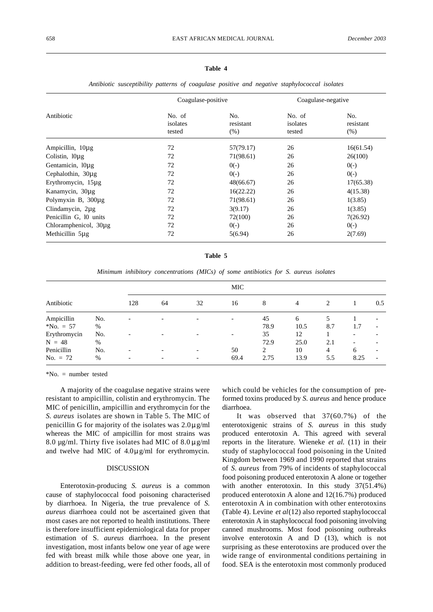# **Table 4**

| Antibiotic                 | Coagulase-positive           |                          | Coagulase-negative           |                          |  |
|----------------------------|------------------------------|--------------------------|------------------------------|--------------------------|--|
|                            | No. of<br>isolates<br>tested | No.<br>resistant<br>(% ) | No. of<br>isolates<br>tested | No.<br>resistant<br>(% ) |  |
| Ampicillin, 10µg           | 72                           | 57(79.17)                | 26                           | 16(61.54)                |  |
| Colistin, $10\mu$ g        | 72                           | 71(98.61)                | 26                           | 26(100)                  |  |
| Gentamicin, l0µg           | 72                           | $0(-)$                   | 26                           | $0(-)$                   |  |
| Cephalothin, 30µg          | 72                           | $0(-)$                   | 26                           | $0(-)$                   |  |
| Erythromycin, 15µg         | 72                           | 48(66.67)                | 26                           | 17(65.38)                |  |
| Kanamycin, 30µg            | 72                           | 16(22.22)                | 26                           | 4(15.38)                 |  |
| Polymyxin B, 300µg         | 72                           | 71(98.61)                | 26                           | 1(3.85)                  |  |
| Clindamycin, 2µg           | 72                           | 3(9.17)                  | 26                           | 1(3.85)                  |  |
| Penicillin G, 10 units     | 72                           | 72(100)                  | 26                           | 7(26.92)                 |  |
| Chloramphenicol, $30\mu$ g | 72                           | $0(-)$                   | 26                           | $0(-)$                   |  |
| Methicillin 5µg            | 72                           | 5(6.94)                  | 26                           | 2(7.69)                  |  |

*Antibiotic susceptibility patterns of coagulase positive and negative staphylococcal isolates*

**Table 5**

*Minimum inhibitory concentrations (MICs) of some antibiotics for S. aureus isolates*

|              |      | <b>MIC</b>               |                          |                          |                          |      |      |                |                          |                          |
|--------------|------|--------------------------|--------------------------|--------------------------|--------------------------|------|------|----------------|--------------------------|--------------------------|
| Antibiotic   |      | 128                      | 64                       | 32                       | 16                       | 8    | 4    | 2              |                          | 0.5                      |
| Ampicillin   | No.  | $\overline{\phantom{a}}$ | $\overline{\phantom{a}}$ | $\overline{\phantom{0}}$ | $\overline{\phantom{a}}$ | 45   | 6    | 5              |                          | $\overline{\phantom{a}}$ |
| *No. $= 57$  | %    |                          |                          |                          |                          | 78.9 | 10.5 | 8.7            | 1.7                      | $\overline{\phantom{a}}$ |
| Erythromycin | No.  | $\overline{\phantom{a}}$ | $\overline{\phantom{a}}$ | $\overline{\phantom{0}}$ | $\overline{\phantom{a}}$ | 35   | 12   |                | $\overline{\phantom{a}}$ | $\overline{\phantom{a}}$ |
| $N = 48$     | %    |                          |                          |                          |                          | 72.9 | 25.0 | 2.1            | $\overline{\phantom{0}}$ |                          |
| Penicillin   | No.  | $\overline{\phantom{a}}$ |                          | $\overline{\phantom{0}}$ | 50                       | 2    | 10   | $\overline{4}$ | 6                        | $\overline{\phantom{0}}$ |
| No. $= 72$   | $\%$ | $\overline{\phantom{a}}$ | $\overline{\phantom{a}}$ | $\overline{\phantom{0}}$ | 69.4                     | 2.75 | 13.9 | 5.5            | 8.25                     | $\overline{\phantom{a}}$ |

\*No. = number tested

A majority of the coagulase negative strains were resistant to ampicillin, colistin and erythromycin. The MIC of penicillin, ampicillin and erythromycin for the *S. aureus* isolates are shown in Table 5. The MIC of penicillin G for majority of the isolates was 2.0μ g/ml whereas the MIC of ampicillin for most strains was 8.0 µg/ml. Thirty five isolates had MIC of 8.0 μ g/ml and twelve had MIC of 4.0μ g/ml for erythromycin.

### DISCUSSION

Enterotoxin-producing *S. aureus* is a common cause of staphylococcal food poisoning characterised by diarrhoea. In Nigeria, the true prevalence of *S. aureus* diarrhoea could not be ascertained given that most cases are not reported to health institutions. There is therefore insufficient epidemiological data for proper estimation of S. *aureus* diarrhoea. In the present investigation, most infants below one year of age were fed with breast milk while those above one year, in addition to breast-feeding, were fed other foods, all of

which could be vehicles for the consumption of preformed toxins produced by *S. aureus* and hence produce diarrhoea.

It was observed that 37(60.7%) of the enterotoxigenic strains of *S. aureus* in this study produced enterotoxin A. This agreed with several reports in the literature. Wieneke *et al.* (11) in their study of staphylococcal food poisoning in the United Kingdom between 1969 and 1990 reported that strains of *S. aureus* from 79% of incidents of staphylococcal food poisoning produced enterotoxin A alone or together with another enterotoxin. In this study 37(51.4%) produced enterotoxin A alone and 12(16.7%) produced enterotoxin A in combination with other enterotoxins (Table 4). Levine *et al*(12) also reported staphylococcal enterotoxin A in staphylococcal food poisoning involving canned mushrooms. Most food poisoning outbreaks involve enterotoxin A and D (13), which is not surprising as these enterotoxins are produced over the wide range of environmental conditions pertaining in food. SEA is the enterotoxin most commonly produced